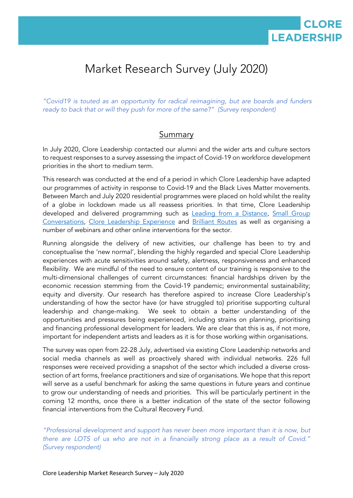

# Market Research Survey (July 2020)

*"Covid19 is touted as an opportunity for radical reimagining, but are boards and funders ready to back that or will they push for more of the same?" (Survey respondent)*

### **Summary**

In July 2020, Clore Leadership contacted our alumni and the wider arts and culture sectors to request responses to a survey assessing the impact of Covid-19 on workforce development priorities in the short to medium term.

This research was conducted at the end of a period in which Clore Leadership have adapted our programmes of activity in response to Covid-19 and the Black Lives Matter movements. Between March and July 2020 residential programmes were placed on hold whilst the reality of a globe in lockdown made us all reassess priorities. In that time, Clore Leadership developed and delivered programming such as [Leading from a Distance,](https://www.cloreleadership.org/cultural-leadership/leading-distance) Small Group [Conversations,](https://www.cloreleadership.org/news-events/events/small-group-conversations) [Clore Leadership Experience](https://www.cloreleadership.org/news-events/events/clore-leadership-experience) and [Brilliant Routes](https://www.cloreleadership.org/news-events/events/brilliant-routes) as well as organising a number of webinars and other online interventions for the sector.

Running alongside the delivery of new activities, our challenge has been to try and conceptualise the 'new normal', blending the highly regarded and special Clore Leadership experiences with acute sensitivities around safety, alertness, responsiveness and enhanced flexibility. We are mindful of the need to ensure content of our training is responsive to the multi-dimensional challenges of current circumstances: financial hardships driven by the economic recession stemming from the Covid-19 pandemic; environmental sustainability; equity and diversity. Our research has therefore aspired to increase Clore Leadership's understanding of how the sector have (or have struggled to) prioritise supporting cultural leadership and change-making. We seek to obtain a better understanding of the opportunities and pressures being experienced, including strains on planning, prioritising and financing professional development for leaders. We are clear that this is as, if not more, important for independent artists and leaders as it is for those working within organisations.

The survey was open from 22-28 July, advertised via existing Clore Leadership networks and social media channels as well as proactively shared with individual networks. 226 full responses were received providing a snapshot of the sector which included a diverse crosssection of art forms, freelance practitioners and size of organisations. We hope that this report will serve as a useful benchmark for asking the same questions in future years and continue to grow our understanding of needs and priorities. This will be particularly pertinent in the coming 12 months, once there is a better indication of the state of the sector following financial interventions from the Cultural Recovery Fund.

*"Professional development and support has never been more important than it is now, but there are LOTS of us who are not in a financially strong place as a result of Covid." (Survey respondent)*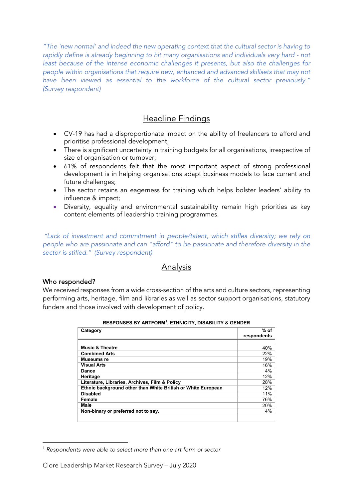*"The 'new normal' and indeed the new operating context that the cultural sector is having to rapidly define is already beginning to hit many organisations and individuals very hard - not least because of the intense economic challenges it presents, but also the challenges for people within organisations that require new, enhanced and advanced skillsets that may not have been viewed as essential to the workforce of the cultural sector previously." (Survey respondent)*

## **Headline Findings**

- CV-19 has had a disproportionate impact on the ability of freelancers to afford and prioritise professional development;
- There is significant uncertainty in training budgets for all organisations, irrespective of size of organisation or turnover;
- 61% of respondents felt that the most important aspect of strong professional development is in helping organisations adapt business models to face current and future challenges;
- The sector retains an eagerness for training which helps bolster leaders' ability to influence & impact;
- Diversity, equality and environmental sustainability remain high priorities as key content elements of leadership training programmes.

*"Lack of investment and commitment in people/talent, which stifles diversity; we rely on people who are passionate and can "afford" to be passionate and therefore diversity in the sector is stifled." (Survey respondent)*

## **Analysis**

#### Who responded?

We received responses from a wide cross-section of the arts and culture sectors, representing performing arts, heritage, film and libraries as well as sector support organisations, statutory funders and those involved with development of policy.

| Category                                                     | $%$ of<br>respondents |
|--------------------------------------------------------------|-----------------------|
|                                                              |                       |
| <b>Music &amp; Theatre</b>                                   | 40%                   |
| <b>Combined Arts</b>                                         | 22%                   |
| Museums re                                                   | 19%                   |
| <b>Visual Arts</b>                                           | 16%                   |
| Dance                                                        | 4%                    |
| Heritage                                                     | 12%                   |
| Literature, Libraries, Archives, Film & Policy               | 28%                   |
| Ethnic background other than White British or White European | 12%                   |
| <b>Disabled</b>                                              | 11%                   |
| Female                                                       | 76%                   |
| Male                                                         | 20%                   |
| Non-binary or preferred not to say.                          | 4%                    |
|                                                              |                       |

**RESPONSES BY ARTFORM**[1](#page-1-0) **, ETHNICITY, DISABILITY & GENDER**

<span id="page-1-0"></span> <sup>1</sup> *Respondents were able to select more than one art form or sector*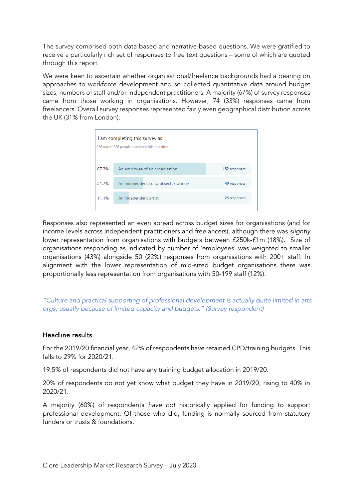The survey comprised both data-based and narrative-based questions. We were gratified to receive a particularly rich set of responses to free text questions – some of which are quoted through this report.

We were keen to ascertain whether organisational/freelance backgrounds had a bearing on approaches to workforce development and so collected quantitative data around budget sizes, numbers of staff and/or independent practitioners. A majority (67%) of survey responses came from those working in organisations. However, 74 (33%) responses came from freelancers. Overall survey responses represented fairly even geographical distribution across the UK (31% from London).

|       | I am completing this survey as:<br>226 out of 226 people answered this question |               |
|-------|---------------------------------------------------------------------------------|---------------|
| 67.3% | An employee of an organisation                                                  | 152 responses |
| 21.7% | An independent cultural sector worker                                           | 49 responses  |
| 11.1% | An independent artist                                                           | 25 responses  |
|       |                                                                                 |               |

Responses also represented an even spread across budget sizes for organisations (and for income levels across independent practitioners and freelancers), although there was *slightly* lower representation from organisations with budgets between £250k-£1m (18%). Size of organisations responding as indicated by number of 'employees' was weighted to smaller organisations (43%) alongside 50 (22%) responses from organisations with 200+ staff. In alignment with the lower representation of mid-sized budget organisations there was proportionally less representation from organisations with 50-199 staff (12%).

*"Culture and practical supporting of professional development is actually quite limited in arts orgs, usually because of limited capacity and budgets." (Survey respondent)*

#### Headline results

For the 2019/20 financial year, 42% of respondents have retained CPD/training budgets. This falls to 29% for 2020/21.

19.5% of respondents did not have any training budget allocation in 2019/20.

20% of respondents do not yet know what budget they have in 2019/20, rising to 40% in 2020/21.

A majority (60%) of respondents *have not* historically applied for funding to support professional development. Of those who did, funding is normally sourced from statutory funders or trusts & foundations.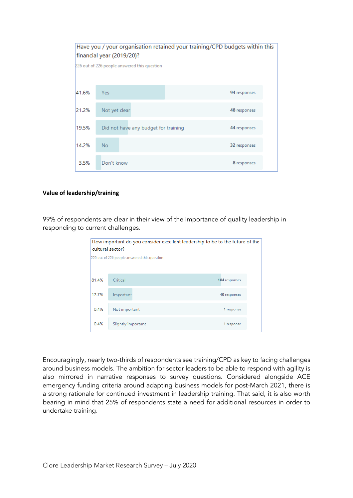| Have you / your organisation retained your training/CPD budgets within this<br>financial year (2019/20)? |                                              |              |
|----------------------------------------------------------------------------------------------------------|----------------------------------------------|--------------|
|                                                                                                          | 226 out of 226 people answered this question |              |
|                                                                                                          |                                              |              |
| 41.6%                                                                                                    | <b>Yes</b>                                   | 94 responses |
| 21.2%                                                                                                    | Not yet clear                                | 48 responses |
| 19.5%                                                                                                    | Did not have any budget for training         | 44 responses |
| 14.2%                                                                                                    | <b>No</b>                                    | 32 responses |
| 3.5%                                                                                                     | Don't know                                   | 8 responses  |

#### **Value of leadership/training**

99% of respondents are clear in their view of the importance of quality leadership in responding to current challenges.

| How important do you consider excellent leadership to be to the future of the<br>cultural sector? |                                              |               |
|---------------------------------------------------------------------------------------------------|----------------------------------------------|---------------|
|                                                                                                   | 226 out of 226 people answered this question |               |
| 81.4%                                                                                             | Critical                                     | 184 responses |
| 17.7%                                                                                             | Important                                    | 40 responses  |
| 0.4%                                                                                              | Not important                                | 1 response    |
| 0.4%                                                                                              | Slightly important                           | 1 response    |

Encouragingly, nearly two-thirds of respondents see training/CPD as key to facing challenges around business models. The ambition for sector leaders to be able to respond with agility is also mirrored in narrative responses to survey questions. Considered alongside ACE emergency funding criteria around adapting business models for post-March 2021, there is a strong rationale for continued investment in leadership training. That said, it is also worth bearing in mind that 25% of respondents state a need for additional resources in order to undertake training.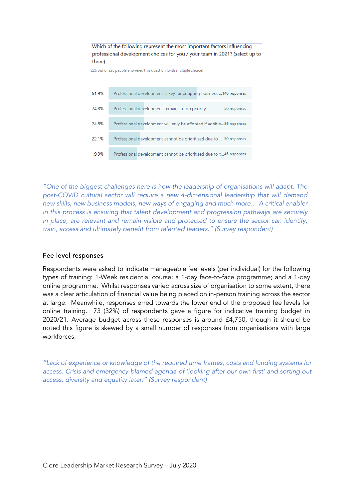| three) | Which of the following represent the most important factors influencing<br>professional development choices for you / your team in 2021? (select up to |
|--------|--------------------------------------------------------------------------------------------------------------------------------------------------------|
|        | 226 out of 226 people answered this question (with multiple choice)                                                                                    |
| 61.9%  | Professional development is key for adapting business  140 responses                                                                                   |
| 24.8%  | Professional development remains a top priority<br>56 responses                                                                                        |
| 24.8%  | Professional development will only be afforded if additio56 responses                                                                                  |
| 22.1%  | Professional development cannot be prioritised due to  50 responses                                                                                    |
| 19.9%  | Professional development cannot be prioritised due to t45 responses                                                                                    |

*"One of the biggest challenges here is how the leadership of organisations will adapt. The post-COVID cultural sector will require a new 4-dimensional leadership that will demand new skills, new business models, new ways of engaging and much more… A critical enabler in this process is ensuring that talent development and progression pathways are securely in place, are relevant and remain visible and protected to ensure the sector can identify, train, access and ultimately benefit from talented leaders." (Survey respondent)*

#### Fee level responses

Respondents were asked to indicate manageable fee levels (per individual) for the following types of training: 1-Week residential course; a 1-day face-to-face programme; and a 1-day online programme. Whilst responses varied across size of organisation to some extent, there was a clear articulation of financial value being placed on in-person training across the sector at large. Meanwhile, responses erred towards the lower end of the proposed fee levels for online training. 73 (32%) of respondents gave a figure for indicative training budget in 2020/21. Average budget across these responses is around £4,750, though it should be noted this figure is skewed by a small number of responses from organisations with large workforces.

*"Lack of experience or knowledge of the required time frames, costs and funding systems for access. Crisis and emergency-blamed agenda of 'looking after our own first' and sorting out access, diversity and equality later." (Survey respondent)*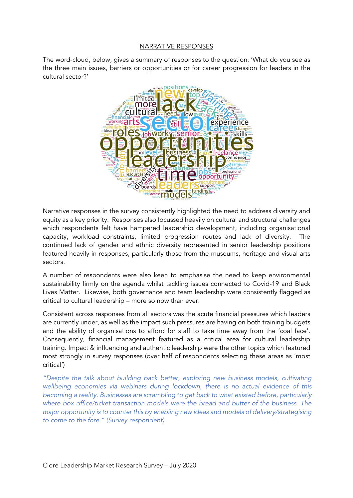#### NARRATIVE RESPONSES

The word-cloud, below, gives a summary of responses to the question: 'What do you see as the three main issues, barriers or opportunities or for career progression for leaders in the cultural sector?'



Narrative responses in the survey consistently highlighted the need to address diversity and equity as a key priority. Responses also focussed heavily on cultural and structural challenges which respondents felt have hampered leadership development, including organisational capacity, workload constraints, limited progression routes and lack of diversity. The continued lack of gender and ethnic diversity represented in senior leadership positions featured heavily in responses, particularly those from the museums, heritage and visual arts sectors.

A number of respondents were also keen to emphasise the need to keep environmental sustainability firmly on the agenda whilst tackling issues connected to Covid-19 and Black Lives Matter. Likewise, both governance and team leadership were consistently flagged as critical to cultural leadership – more so now than ever.

Consistent across responses from all sectors was the acute financial pressures which leaders are currently under, as well as the impact such pressures are having on both training budgets and the ability of organisations to afford for staff to take time away from the 'coal face'. Consequently, financial management featured as a critical area for cultural leadership training. Impact & influencing and authentic leadership were the other topics which featured most strongly in survey responses (over half of respondents selecting these areas as 'most critical')

*"Despite the talk about building back better, exploring new business models, cultivating wellbeing economies via webinars during lockdown, there is no actual evidence of this becoming a reality. Businesses are scrambling to get back to what existed before, particularly where box office/ticket transaction models were the bread and butter of the business. The major opportunity is to counter this by enabling new ideas and models of delivery/strategising to come to the fore." (Survey respondent)*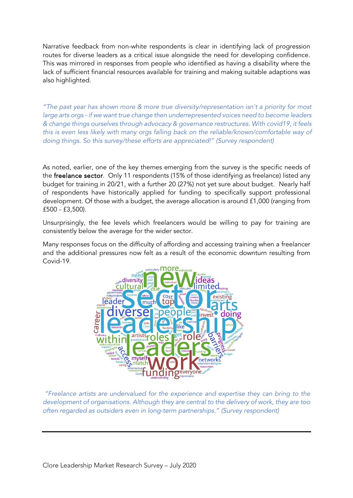Narrative feedback from non-white respondents is clear in identifying lack of progression routes for diverse leaders as a critical issue alongside the need for developing confidence. This was mirrored in responses from people who identified as having a disability where the lack of sufficient financial resources available for training and making suitable adaptions was also highlighted.

*"The past year has shown more & more true diversity/representation isn't a priority for most large arts orgs - if we want true change then underrepresented voices need to become leaders & change things ourselves through advocacy & governance restructures. With covid19, it feels this is even less likely with many orgs falling back on the reliable/known/comfortable way of doing things. So this survey/these efforts are appreciated!" (Survey respondent)*

As noted, earlier, one of the key themes emerging from the survey is the specific needs of the freelance sector. Only 11 respondents (15% of those identifying as freelance) listed any budget for training in 20/21, with a further 20 (27%) not yet sure about budget. Nearly half of respondents have historically applied for funding to specifically support professional development. Of those with a budget, the average allocation is around £1,000 (ranging from £500 - £3,500).

Unsurprisingly, the fee levels which freelancers would be willing to pay for training are consistently below the average for the wider sector.

Many responses focus on the difficulty of affording and accessing training when a freelancer and the additional pressures now felt as a result of the economic downturn resulting from Covid-19.



*"Freelance artists are undervalued for the experience and expertise they can bring to the development of organisations. Although they are central to the delivery of work, they are too often regarded as outsiders even in long-term partnerships." (Survey respondent)*